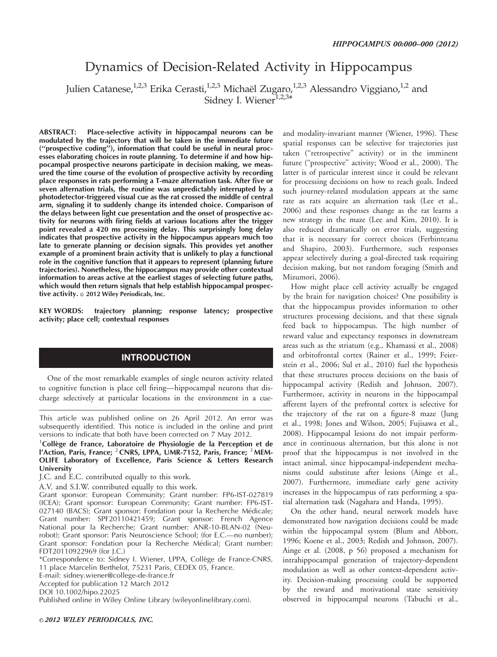# Dynamics of Decision-Related Activity in Hippocampus

Julien Catanese,<sup>1,2,3</sup> Erika Cerasti,<sup>1,2,3</sup> Michaël Zugaro,<sup>1,2,3</sup> Alessandro Viggiano,<sup>1,2</sup> and Sidney I. Wiener $1,2,3*$ 

ABSTRACT: Place-selective activity in hippocampal neurons can be modulated by the trajectory that will be taken in the immediate future (''prospective coding''), information that could be useful in neural processes elaborating choices in route planning. To determine if and how hippocampal prospective neurons participate in decision making, we measured the time course of the evolution of prospective activity by recording place responses in rats performing a T-maze alternation task. After five or seven alternation trials, the routine was unpredictably interrupted by a photodetector-triggered visual cue as the rat crossed the middle of central arm, signaling it to suddenly change its intended choice. Comparison of the delays between light cue presentation and the onset of prospective activity for neurons with firing fields at various locations after the trigger point revealed a 420 ms processing delay. This surprisingly long delay indicates that prospective activity in the hippocampus appears much too late to generate planning or decision signals. This provides yet another example of a prominent brain activity that is unlikely to play a functional role in the cognitive function that it appears to represent (planning future trajectories). Nonetheless, the hippocampus may provide other contextual information to areas active at the earliest stages of selecting future paths, which would then return signals that help establish hippocampal prospective activity.  $\circ$  2012 Wiley Periodicals, Inc.

KEY WORDS: trajectory planning; response latency; prospective activity; place cell; contextual responses

# **INTRODUCTION**

One of the most remarkable examples of single neuron activity related to cognitive function is place cell firing—hippocampal neurons that discharge selectively at particular locations in the environment in a cue-

This article was published online on 26 April 2012. An error was subsequently identified. This notice is included in the online and print versions to indicate that both have been corrected on 7 May 2012.

<sup>1</sup>Collège de France, Laboratoire de Physiologie de la Perception et de l'Action, Paris, France;  $2$  CNRS, LPPA, UMR-7152, Paris, France;  $3$  MEM-OLIFE Laboratory of Excellence, Paris Science & Letters Research **University** 

J.C. and E.C. contributed equally to this work.

A.V. and S.I.W. contributed equally to this work.

Grant sponsor: European Community; Grant number: FP6-IST-027819 (ICEA); Grant sponsor: European Community; Grant number: FP6-IST-027140 (BACS); Grant sponsor: Fondation pour la Recherche Médicale; Grant number: SPF20110421459; Grant sponsor: French Agence National pour la Recherche; Grant number: ANR-10-BLAN-02 (Neurobot); Grant sponsor: Paris Neuroscience School; (for E.C.—no number); Grant sponsor: Fondation pour la Recherche Médical; Grant number: FDT20110922969 (for J.C.)

\*Correspondence to: Sidney I. Wiener, LPPA, Collège de France-CNRS, 11 place Marcelin Berthelot, 75231 Paris, CEDEX 05, France.

E-mail: sidney.wiener@college-de-france.fr

Accepted for publication 12 March 2012

DOI 10.1002/hipo.22025

Published online in Wiley Online Library (wileyonlinelibrary.com).

and modality-invariant manner (Wiener, 1996). These spatial responses can be selective for trajectories just taken ("retrospective" activity) or in the imminent future (''prospective'' activity; Wood et al., 2000). The latter is of particular interest since it could be relevant for processing decisions on how to reach goals. Indeed such journey-related modulation appears at the same rate as rats acquire an alternation task (Lee et al., 2006) and these responses change as the rat learns a new strategy in the maze (Lee and Kim, 2010). It is also reduced dramatically on error trials, suggesting that it is necessary for correct choices (Ferbinteanu and Shapiro, 2003). Furthermore, such responses appear selectively during a goal-directed task requiring decision making, but not random foraging (Smith and Mizumori, 2006).

How might place cell activity actually be engaged by the brain for navigation choices? One possibility is that the hippocampus provides information to other structures processing decisions, and that these signals feed back to hippocampus. The high number of reward value and expectancy responses in downstream areas such as the striatum (e.g., Khamassi et al., 2008) and orbitofrontal cortex (Rainer et al., 1999; Feierstein et al., 2006; Sul et al., 2010) fuel the hypothesis that these structures process decisions on the basis of hippocampal activity (Redish and Johnson, 2007). Furthermore, activity in neurons in the hippocampal afferent layers of the prefrontal cortex is selective for the trajectory of the rat on a figure-8 maze (Jung et al., 1998; Jones and Wilson, 2005; Fujisawa et al., 2008). Hippocampal lesions do not impair performance in continuous alternation, but this alone is not proof that the hippocampus is not involved in the intact animal, since hippocampal-independent mechanisms could substitute after lesions (Ainge et al., 2007). Furthermore, immediate early gene activity increases in the hippocampus of rats performing a spatial alternation task (Nagahara and Handa, 1995).

On the other hand, neural network models have demonstrated how navigation decisions could be made within the hippocampal system (Blum and Abbott, 1996; Koene et al., 2003; Redish and Johnson, 2007). Ainge et al. (2008, p 56) proposed a mechanism for intrahippocampal generation of trajectory-dependent modulation as well as other context-dependent activity. Decision-making processing could be supported by the reward and motivational state sensitivity observed in hippocampal neurons (Tabuchi et al.,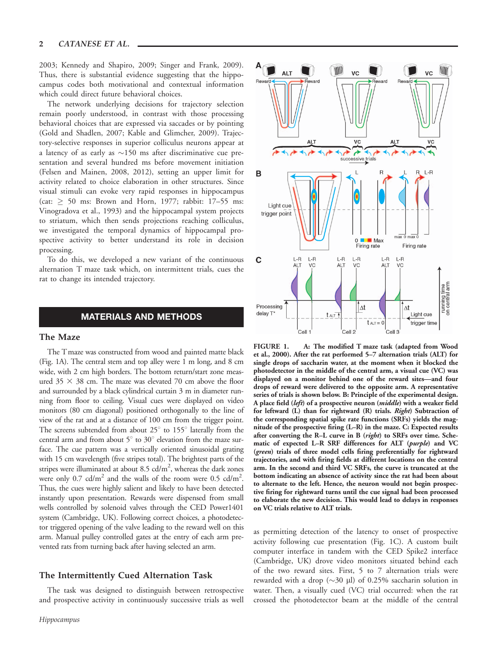2003; Kennedy and Shapiro, 2009; Singer and Frank, 2009). Thus, there is substantial evidence suggesting that the hippocampus codes both motivational and contextual information which could direct future behavioral choices.

The network underlying decisions for trajectory selection remain poorly understood, in contrast with those processing behavioral choices that are expressed via saccades or by pointing (Gold and Shadlen, 2007; Kable and Glimcher, 2009). Trajectory-selective responses in superior colliculus neurons appear at a latency of as early as  $\sim$ 150 ms after discriminative cue presentation and several hundred ms before movement initiation (Felsen and Mainen, 2008, 2012), setting an upper limit for activity related to choice elaboration in other structures. Since visual stimuli can evoke very rapid responses in hippocampus (cat:  $\geq$  50 ms: Brown and Horn, 1977; rabbit: 17-55 ms: Vinogradova et al., 1993) and the hippocampal system projects to striatum, which then sends projections reaching colliculus, we investigated the temporal dynamics of hippocampal prospective activity to better understand its role in decision processing.

To do this, we developed a new variant of the continuous alternation T maze task which, on intermittent trials, cues the rat to change its intended trajectory.

# MATERIALS AND METHODS

#### The Maze

The Tmaze was constructed from wood and painted matte black (Fig. 1A). The central stem and top alley were 1 m long, and 8 cm wide, with 2 cm high borders. The bottom return/start zone measured  $35 \times 38$  cm. The maze was elevated 70 cm above the floor and surrounded by a black cylindrical curtain 3 m in diameter running from floor to ceiling. Visual cues were displayed on video monitors (80 cm diagonal) positioned orthogonally to the line of view of the rat and at a distance of 100 cm from the trigger point. The screens subtended from about  $25^{\circ}$  to  $155^{\circ}$  laterally from the central arm and from about  $5^\circ$  to  $30^\circ$  elevation from the maze surface. The cue pattern was a vertically oriented sinusoidal grating with 15 cm wavelength (five stripes total). The brightest parts of the stripes were illuminated at about  $8.5$  cd/m<sup>2</sup>, whereas the dark zones were only 0.7  $\text{cd/m}^2$  and the walls of the room were 0.5  $\text{cd/m}^2$ . Thus, the cues were highly salient and likely to have been detected instantly upon presentation. Rewards were dispensed from small wells controlled by solenoid valves through the CED Power1401 system (Cambridge, UK). Following correct choices, a photodetector triggered opening of the valve leading to the reward well on this arm. Manual pulley controlled gates at the entry of each arm prevented rats from turning back after having selected an arm.

#### The Intermittently Cued Alternation Task

The task was designed to distinguish between retrospective and prospective activity in continuously successive trials as well



FIGURE 1. A: The modified T maze task (adapted from Wood et al., 2000). After the rat performed 5–7 alternation trials (ALT) for single drops of saccharin water, at the moment when it blocked the photodetector in the middle of the central arm, a visual cue (VC) was displayed on a monitor behind one of the reward sites—and four drops of reward were delivered to the opposite arm. A representative series of trials is shown below. B: Principle of the experimental design. A place field (left) of a prospective neuron (middle) with a weaker field for leftward (L) than for rightward (R) trials. Right) Subtraction of the corresponding spatial spike rate functions (SRFs) yields the magnitude of the prospective firing (L–R) in the maze. C: Expected results after converting the R–L curve in B (right) to SRFs over time. Schematic of expected L–R SRF differences for ALT (purple) and VC (green) trials of three model cells firing preferentially for rightward trajectories, and with firing fields at different locations on the central arm. In the second and third VC SRFs, the curve is truncated at the bottom indicating an absence of activity since the rat had been about to alternate to the left. Hence, the neuron would not begin prospective firing for rightward turns until the cue signal had been processed to elaborate the new decision. This would lead to delays in responses on VC trials relative to ALT trials.

as permitting detection of the latency to onset of prospective activity following cue presentation (Fig. 1C). A custom built computer interface in tandem with the CED Spike2 interface (Cambridge, UK) drove video monitors situated behind each of the two reward sites. First, 5 to 7 alternation trials were rewarded with a drop ( $\sim$ 30 µl) of 0.25% saccharin solution in water. Then, a visually cued (VC) trial occurred: when the rat crossed the photodetector beam at the middle of the central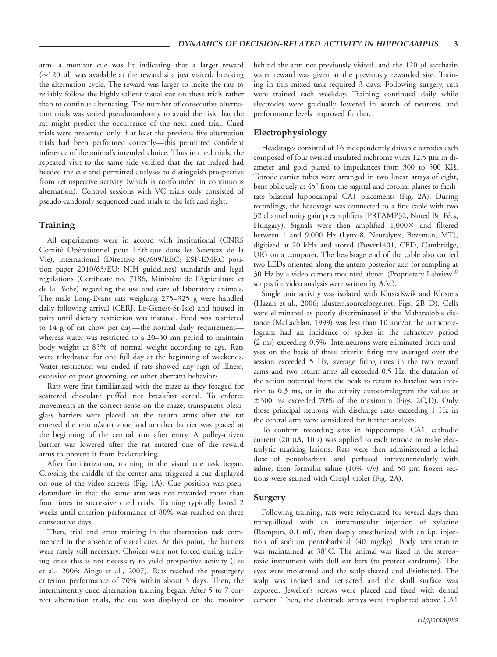arm, a monitor cue was lit indicating that a larger reward  $(\sim120 \mu l)$  was available at the reward site just visited, breaking the alternation cycle. The reward was larger to incite the rats to reliably follow the highly salient visual cue on these trials rather than to continue alternating. The number of consecutive alternation trials was varied pseudorandomly to avoid the risk that the rat might predict the occurrence of the next cued trial. Cued trials were presented only if at least the previous five alternation trials had been performed correctly—this permitted confident inference of the animal's intended choice. Thus in cued trials, the repeated visit to the same side verified that the rat indeed had heeded the cue and permitted analyses to distinguish prospective from retrospective activity (which is confounded in continuous alternation). Control sessions with VC trials only consisted of pseudo-randomly sequenced cued trials to the left and right.

#### Training

All experiments were in accord with institutional (CNRS Comité Opérationnel pour l'Ethique dans les Sciences de la Vie), international (Directive 86/609/EEC; ESF-EMRC position paper 2010/63/EU; NIH guidelines) standards and legal regulations (Certificate no. 7186, Ministère de l'Agriculture et de la Pêche) regarding the use and care of laboratory animals. The male Long-Evans rats weighing 275–325 g were handled daily following arrival (CERJ, Le-Genest-St-Isle) and housed in pairs until dietary restriction was instated. Food was restricted to 14 g of rat chow per day—the normal daily requirement whereas water was restricted to a 20–30 mn period to maintain body weight at 85% of normal weight according to age. Rats were rehydrated for one full day at the beginning of weekends. Water restriction was ended if rats showed any sign of illness, excessive or poor grooming, or other aberrant behaviors.

Rats were first familiarized with the maze as they foraged for scattered chocolate puffed rice breakfast cereal. To enforce movements in the correct sense on the maze, transparent plexiglass barriers were placed on the return arms after the rat entered the return/start zone and another barrier was placed at the beginning of the central arm after entry. A pulley-driven barrier was lowered after the rat entered one of the reward arms to prevent it from backtracking.

After familiarization, training in the visual cue task began. Crossing the middle of the center arm triggered a cue displayed on one of the video screens (Fig. 1A). Cue position was pseudorandom in that the same arm was not rewarded more than four times in successive cued trials. Training typically lasted 2 weeks until criterion performance of 80% was reached on three consecutive days.

Then, trial and error training in the alternation task commenced in the absence of visual cues. At this point, the barriers were rarely still necessary. Choices were not forced during training since this is not necessary to yield prospective activity (Lee et al., 2006; Ainge et al., 2007). Rats reached the presurgery criterion performance of 70% within about 3 days. Then, the intermittently cued alternation training began. After 5 to 7 correct alternation trials, the cue was displayed on the monitor

behind the arm not previously visited, and the 120 µl saccharin water reward was given at the previously rewarded site. Training in this mixed task required 3 days. Following surgery, rats were trained each weekday. Training continued daily while electrodes were gradually lowered in search of neurons, and performance levels improved further.

#### Electrophysiology

Headstages consisted of 16 independently drivable tetrodes each composed of four twisted insulated nichrome wires 12.5 µm in diameter and gold plated to impedances from 300 to 500 K $\Omega$ . Tetrode carrier tubes were arranged in two linear arrays of eight, bent obliquely at 45° from the sagittal and coronal planes to facilitate bilateral hippocampal CA1 placements (Fig. 2A). During recordings, the headstage was connected to a fine cable with two 32 channel unity gain preamplifiers (PREAMP32, Noted Bt, Pécs, Hungary). Signals were then amplified  $1,000\times$  and filtered between 1 and 9,000 Hz (Lynx-8, Neuralynx, Bozeman, MT), digitized at 20 kHz and stored (Power1401, CED, Cambridge, UK) on a computer. The headstage end of the cable also carried two LEDs oriented along the antero-posterior axis for sampling at 30 Hz by a video camera mounted above. (Proprietary Labview*<sup>1</sup>* scripts for video analysis were written by A.V.).

Single unit activity was isolated with KlustaKwik and Klusters (Hazan et al., 2006; klusters.sourceforge.net; Figs. 2B–D). Cells were eliminated as poorly discriminated if the Mahanalobis distance (McLachlan, 1999) was less than 10 and/or the autocorrelogram had an incidence of spikes in the refractory period (2 ms) exceeding 0.5%. Interneurons were eliminated from analyses on the basis of three criteria: firing rate averaged over the session exceeded 5 Hz, average firing rates in the two reward arms and two return arms all exceeded 0.5 Hz, the duration of the action potential from the peak to return to baseline was inferior to 0.3 ms, or in the activity autocorrelogram the values at  $\pm$ 300 ms exceeded 70% of the maximum (Figs. 2C,D). Only those principal neurons with discharge rates exceeding 1 Hz in the central arm were considered for further analysis.

To confirm recording sites in hippocampal CA1, cathodic current  $(20 \mu A, 10 \text{ s})$  was applied to each tetrode to make electrolytic marking lesions. Rats were then administered a lethal dose of pentobarbital and perfused intraventricularly with saline, then formalin saline (10%  $v/v$ ) and 50  $\mu$ m frozen sections were stained with Cresyl violet (Fig. 2A).

## Surgery

Following training, rats were rehydrated for several days then tranquillized with an intramuscular injection of xylazine (Rompun, 0.1 ml), then deeply anesthetized with an i.p. injection of sodium pentobarbital (40 mg/kg). Body temperature was maintained at  $38^{\circ}$ C. The animal was fixed in the stereotaxic instrument with dull ear bars (to protect eardrums). The eyes were moistened and the scalp shaved and disinfected. The scalp was incised and retracted and the skull surface was exposed. Jeweller's screws were placed and fixed with dental cement. Then, the electrode arrays were implanted above CA1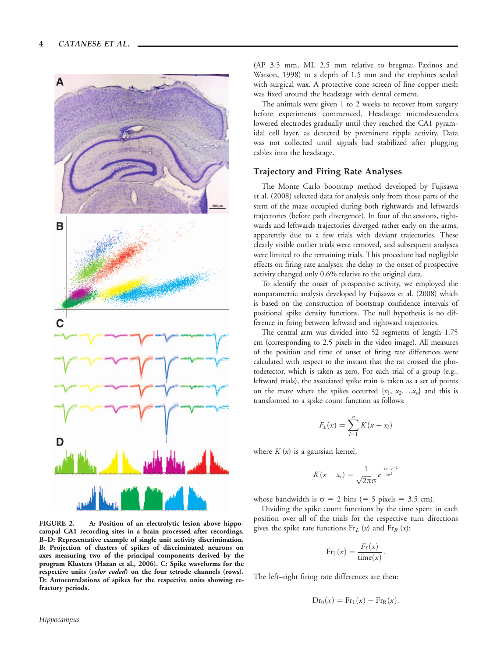

FIGURE 2. A: Position of an electrolytic lesion above hippocampal CA1 recording sites in a brain processed after recordings. B–D: Representative example of single unit activity discrimination. B: Projection of clusters of spikes of discriminated neurons on axes measuring two of the principal components derived by the program Klusters (Hazan et al., 2006). C: Spike waveforms for the respective units (color coded) on the four tetrode channels (rows). D: Autocorrelations of spikes for the respective units showing refractory periods.

(AP 3.5 mm, ML 2.5 mm relative to bregma; Paxinos and Watson, 1998) to a depth of 1.5 mm and the trephines sealed with surgical wax. A protective cone screen of fine copper mesh was fixed around the headstage with dental cement.

The animals were given 1 to 2 weeks to recover from surgery before experiments commenced. Headstage microdescenders lowered electrodes gradually until they reached the CA1 pyramidal cell layer, as detected by prominent ripple activity. Data was not collected until signals had stabilized after plugging cables into the headstage.

#### Trajectory and Firing Rate Analyses

The Monte Carlo bootstrap method developed by Fujisawa et al. (2008) selected data for analysis only from those parts of the stem of the maze occupied during both rightwards and leftwards trajectories (before path divergence). In four of the sessions, rightwards and leftwards trajectories diverged rather early on the arms, apparently due to a few trials with deviant trajectories. These clearly visible outlier trials were removed, and subsequent analyses were limited to the remaining trials. This procedure had negligible effects on firing rate analyses: the delay to the onset of prospective activity changed only 0.6% relative to the original data.

To identify the onset of prospective activity, we employed the nonparametric analysis developed by Fujisawa et al. (2008) which is based on the construction of bootstrap confidence intervals of positional spike density functions. The null hypothesis is no difference in firing between leftward and rightward trajectories.

The central arm was divided into 52 segments of length 1.75 cm (corresponding to 2.5 pixels in the video image). All measures of the position and time of onset of firing rate differences were calculated with respect to the instant that the rat crossed the photodetector, which is taken as zero. For each trial of a group (e.g., leftward trials), the associated spike train is taken as a set of points on the maze where the spikes occurred  $\{x_1, x_2, \ldots, x_n\}$  and this is transformed to a spike count function as follows:

$$
F_L(x) = \sum_{i=1}^n K(x - x_i)
$$

where  $K(x)$  is a gaussian kernel,

$$
K(x - x_i) = \frac{1}{\sqrt{2\pi}\sigma} e^{\frac{-(x - x_i)^2}{2\sigma^2}}
$$

whose bandwidth is  $\sigma = 2$  bins (= 5 pixels = 3.5 cm).

Dividing the spike count functions by the time spent in each position over all of the trials for the respective turn directions gives the spike rate functions  $Fr_L(x)$  and  $Fr_R(x)$ :

$$
Fr_{L}(x) = \frac{F_{L}(x)}{\text{time}(x)}.
$$

The left–right firing rate differences are then:

$$
Dr_0(x) = Fr_L(x) - Fr_R(x).
$$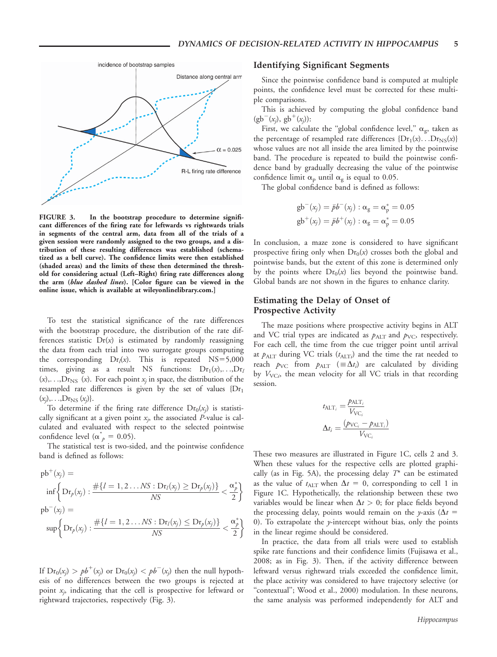

FIGURE 3. In the bootstrap procedure to determine significant differences of the firing rate for leftwards vs rightwards trials in segments of the central arm, data from all of the trials of a given session were randomly assigned to the two groups, and a distribution of these resulting differences was established (schematized as a bell curve). The confidence limits were then established (shaded areas) and the limits of these then determined the threshold for considering actual (Left–Right) firing rate differences along the arm (blue dashed lines). [Color figure can be viewed in the online issue, which is available at wileyonlinelibrary.com.]

To test the statistical significance of the rate differences with the bootstrap procedure, the distribution of the rate differences statistic  $Dr(x)$  is estimated by randomly reassigning the data from each trial into two surrogate groups computing the corresponding  $Dr(x)$ . This is repeated NS=5,000 times, giving as a result NS functions:  $Dr_1(x), \ldots, Dr_l$  $(x)$ ,...,Dr<sub>NS</sub>  $(x)$ . For each point  $x_j$  in space, the distribution of the resampled rate differences is given by the set of values  ${Dr_1}$  $(x_j), \ldots, \text{Dr}_{\text{NS}}(x_j)\}.$ 

To determine if the firing rate difference  $Dr_0(x_i)$  is statistically significant at a given point  $x_i$ , the associated P-value is calculated and evaluated with respect to the selected pointwise confidence level ( $\alpha_p^* = 0.05$ ).

The statistical test is two-sided, and the pointwise confidence band is defined as follows:

$$
pb^{+}(x_j) = \inf \left\{ Dr_{p}(x_j) : \frac{\# \{ l = 1, 2 \dots NS : Dr_{l}(x_j) \ge Dr_{p}(x_j) \}}{NS} < \frac{\alpha_p^{*}}{2} \right\}
$$
  
\n
$$
pb^{-}(x_j) = \sup \left\{ Dr_{p}(x_j) : \frac{\# \{ l = 1, 2 \dots NS : Dr_{l}(x_j) \le Dr_{p}(x_j) \}}{NS} < \frac{\alpha_p^{*}}{2} \right\}
$$

If  $Dr_0(x_j) > pb^+(x_j)$  or  $Dr_0(x_j) < pb^-(x_j)$  then the null hypothesis of no differences between the two groups is rejected at point  $x_j$ , indicating that the cell is prospective for leftward or rightward trajectories, respectively (Fig. 3).

#### Identifying Significant Segments

Since the pointwise confidence band is computed at multiple points, the confidence level must be corrected for these multiple comparisons.

This is achieved by computing the global confidence band  $(gb^-(x_i), gb^+(x_i))$ :

First, we calculate the "global confidence level,"  $\alpha_{g}$ , taken as the percentage of resampled rate differences  $\{Dr_1(x) \dots Dr_{NS}(x)\}$ whose values are not all inside the area limited by the pointwise band. The procedure is repeated to build the pointwise confidence band by gradually decreasing the value of the pointwise confidence limit  $\alpha_p$  until  $\alpha_g$  is equal to 0.05.

The global confidence band is defined as follows:

$$
gb^{-}(x_j) = \bar{p}b^{-}(x_j) : \alpha_g = \alpha_p^* = 0.05
$$
  
\n $gb^{+}(x_j) = \bar{p}b^{+}(x_j) : \alpha_g = \alpha_p^* = 0.05$ 

In conclusion, a maze zone is considered to have significant prospective firing only when  $Dr_0(x)$  crosses both the global and pointwise bands, but the extent of this zone is determined only by the points where  $Dr_0(x)$  lies beyond the pointwise band. Global bands are not shown in the figures to enhance clarity.

#### Estimating the Delay of Onset of Prospective Activity

The maze positions where prospective activity begins in ALT and VC trial types are indicated as  $p_{\text{ALT}}$  and  $p_{\text{VC}}$ , respectively. For each cell, the time from the cue trigger point until arrival at  $p_{\text{ALT}}$  during VC trials  $(t_{\text{ALT}})$  and the time the rat needed to reach  $p_{\text{VC}}$  from  $p_{\text{ALT}}$  ( $\equiv \Delta t_i$ ) are calculated by dividing by  $V_{\text{VC}i}$ , the mean velocity for all VC trials in that recording session.

$$
t_{\text{ALT}_i} = \frac{p_{\text{ALT}_i}}{V_{\text{VC}_i}}
$$

$$
\Delta t_i = \frac{(p_{\text{VC}_i} - p_{\text{ALT}_i})}{V_{\text{VC}_i}}
$$

These two measures are illustrated in Figure 1C, cells 2 and 3. When these values for the respective cells are plotted graphically (as in Fig. 5A), the processing delay  $T^*$  can be estimated as the value of  $t_{\text{ALT}}$  when  $\Delta t = 0$ , corresponding to cell 1 in Figure 1C. Hypothetically, the relationship between these two variables would be linear when  $\Delta t > 0$ ; for place fields beyond the processing delay, points would remain on the y-axis ( $\Delta t =$ 0). To extrapolate the  $y$ -intercept without bias, only the points in the linear regime should be considered.

In practice, the data from all trials were used to establish spike rate functions and their confidence limits (Fujisawa et al., 2008; as in Fig. 3). Then, if the activity difference between leftward versus rightward trials exceeded the confidence limit, the place activity was considered to have trajectory selective (or "contextual"; Wood et al., 2000) modulation. In these neurons, the same analysis was performed independently for ALT and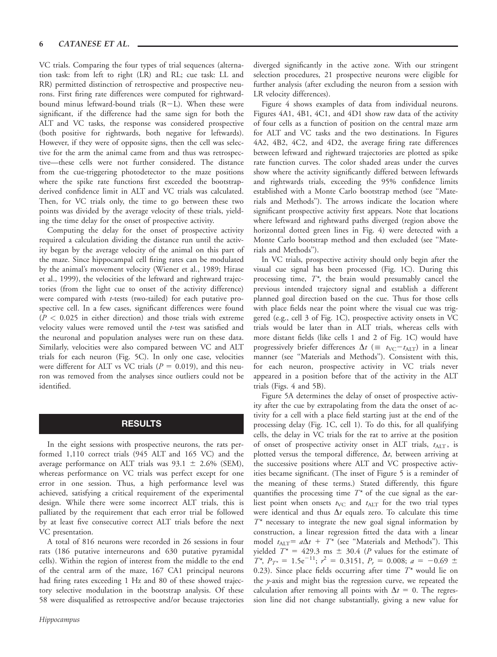VC trials. Comparing the four types of trial sequences (alternation task: from left to right (LR) and RL; cue task: LL and RR) permitted distinction of retrospective and prospective neurons. First firing rate differences were computed for rightwardbound minus leftward-bound trials  $(R-L)$ . When these were significant, if the difference had the same sign for both the ALT and VC tasks, the response was considered prospective (both positive for rightwards, both negative for leftwards). However, if they were of opposite signs, then the cell was selective for the arm the animal came from and thus was retrospective—these cells were not further considered. The distance from the cue-triggering photodetector to the maze positions where the spike rate functions first exceeded the bootstrapderived confidence limit in ALT and VC trials was calculated. Then, for VC trials only, the time to go between these two points was divided by the average velocity of these trials, yielding the time delay for the onset of prospective activity.

Computing the delay for the onset of prospective activity required a calculation dividing the distance run until the activity began by the average velocity of the animal on this part of the maze. Since hippocampal cell firing rates can be modulated by the animal's movement velocity (Wiener et al., 1989; Hirase et al., 1999), the velocities of the leftward and rightward trajectories (from the light cue to onset of the activity difference) were compared with *t*-tests (two-tailed) for each putative prospective cell. In a few cases, significant differences were found  $(P < 0.025$  in either direction) and those trials with extreme velocity values were removed until the *t*-test was satisfied and the neuronal and population analyses were run on these data. Similarly, velocities were also compared between VC and ALT trials for each neuron (Fig. 5C). In only one case, velocities were different for ALT vs VC trials ( $P = 0.019$ ), and this neuron was removed from the analyses since outliers could not be identified.

# RESULTS

In the eight sessions with prospective neurons, the rats performed 1,110 correct trials (945 ALT and 165 VC) and the average performance on ALT trials was  $93.1 \pm 2.6\%$  (SEM), whereas performance on VC trials was perfect except for one error in one session. Thus, a high performance level was achieved, satisfying a critical requirement of the experimental design. While there were some incorrect ALT trials, this is palliated by the requirement that each error trial be followed by at least five consecutive correct ALT trials before the next VC presentation.

A total of 816 neurons were recorded in 26 sessions in four rats (186 putative interneurons and 630 putative pyramidal cells). Within the region of interest from the middle to the end of the central arm of the maze, 167 CA1 principal neurons had firing rates exceeding 1 Hz and 80 of these showed trajectory selective modulation in the bootstrap analysis. Of these 58 were disqualified as retrospective and/or because trajectories diverged significantly in the active zone. With our stringent selection procedures, 21 prospective neurons were eligible for further analysis (after excluding the neuron from a session with LR velocity differences).

Figure 4 shows examples of data from individual neurons. Figures 4A1, 4B1, 4C1, and 4D1 show raw data of the activity of four cells as a function of position on the central maze arm for ALT and VC tasks and the two destinations. In Figures 4A2, 4B2, 4C2, and 4D2, the average firing rate differences between leftward and rightward trajectories are plotted as spike rate function curves. The color shaded areas under the curves show where the activity significantly differed between leftwards and rightwards trials, exceeding the 95% confidence limits established with a Monte Carlo bootstrap method (see ''Materials and Methods''). The arrows indicate the location where significant prospective activity first appears. Note that locations where leftward and rightward paths diverged (region above the horizontal dotted green lines in Fig. 4) were detected with a Monte Carlo bootstrap method and then excluded (see ''Materials and Methods'').

In VC trials, prospective activity should only begin after the visual cue signal has been processed (Fig. 1C). During this processing time,  $T^*$ , the brain would presumably cancel the previous intended trajectory signal and establish a different planned goal direction based on the cue. Thus for those cells with place fields near the point where the visual cue was triggered (e.g., cell 3 of Fig. 1C), prospective activity onsets in VC trials would be later than in ALT trials, whereas cells with more distant fields (like cells 1 and 2 of Fig. 1C) would have progressively briefer differences  $\Delta t$  ( $\equiv t_{\text{VC}}-t_{\text{ALT}}$ ) in a linear manner (see ''Materials and Methods''). Consistent with this, for each neuron, prospective activity in VC trials never appeared in a position before that of the activity in the ALT trials (Figs. 4 and 5B).

Figure 5A determines the delay of onset of prospective activity after the cue by extrapolating from the data the onset of activity for a cell with a place field starting just at the end of the processing delay (Fig. 1C, cell 1). To do this, for all qualifying cells, the delay in VC trials for the rat to arrive at the position of onset of prospective activity onset in ALT trials,  $t_{\text{ALT}}$ , is plotted versus the temporal difference,  $\Delta t$ , between arriving at the successive positions where ALT and VC prospective activities became significant. (The inset of Figure 5 is a reminder of the meaning of these terms.) Stated differently, this figure quantifies the processing time  $T^*$  of the cue signal as the earliest point when onsets  $t_{\text{VC}}$  and  $t_{\text{ALT}}$  for the two trial types were identical and thus  $\Delta t$  equals zero. To calculate this time  $T^*$  necessary to integrate the new goal signal information by construction, a linear regression fitted the data with a linear model  $t_{\text{ALT}} = a\Delta t + T^*$  (see "Materials and Methods"). This yielded  $T^* = 429.3$  ms  $\pm$  30.4 (P values for the estimate of  $T^*$ ,  $P_{T^*} = 1.5e^{-11}$ ;  $r^2 = 0.3151$ ,  $P_r = 0.008$ ;  $a = -0.69 \pm 0.008$ 0.23). Since place fields occurring after time  $T^*$  would lie on the y-axis and might bias the regression curve, we repeated the calculation after removing all points with  $\Delta t = 0$ . The regression line did not change substantially, giving a new value for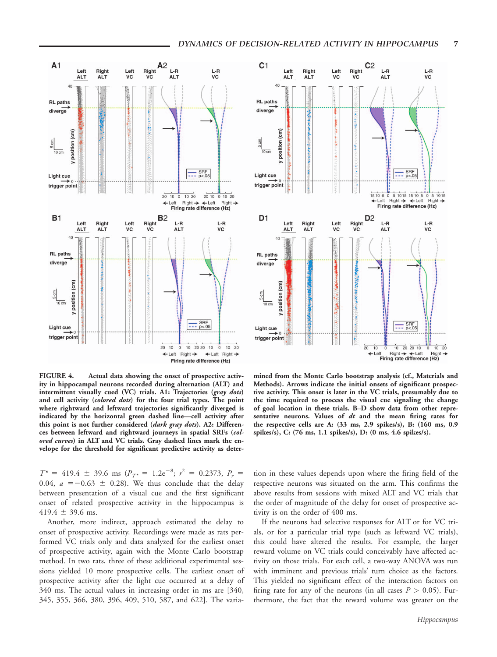



FIGURE 4. Actual data showing the onset of prospective activity in hippocampal neurons recorded during alternation (ALT) and intermittent visually cued (VC) trials. A1: Trajectories (gray dots) and cell activity (colored dots) for the four trial types. The point where rightward and leftward trajectories significantly diverged is indicated by the horizontal green dashed line—cell activity after this point is not further considered (dark gray dots). A2: Differences between leftward and rightward journeys in spatial SRFs (colored curves) in ALT and VC trials. Gray dashed lines mark the envelope for the threshold for significant predictive activity as deter-

mined from the Monte Carlo bootstrap analysis (cf., Materials and Methods). Arrows indicate the initial onsets of significant prospective activity. This onset is later in the VC trials, presumably due to the time required to process the visual cue signaling the change of goal location in these trials. B–D show data from other representative neurons. Values of dt and the mean firing rates for the respective cells are A: (33 ms, 2.9 spikes/s), B: (160 ms, 0.9 spikes/s), C: (76 ms, 1.1 spikes/s), D: (0 ms, 4.6 spikes/s).

 $T^* = 419.4 \pm 39.6$  ms  $(P_{T^*} = 1.2e^{-8}; r^2 = 0.2373, P_r =$ 0.04,  $a = -0.63 \pm 0.28$ ). We thus conclude that the delay between presentation of a visual cue and the first significant onset of related prospective activity in the hippocampus is  $419.4 \pm 39.6$  ms.

Another, more indirect, approach estimated the delay to onset of prospective activity. Recordings were made as rats performed VC trials only and data analyzed for the earliest onset of prospective activity, again with the Monte Carlo bootstrap method. In two rats, three of these additional experimental sessions yielded 10 more prospective cells. The earliest onset of prospective activity after the light cue occurred at a delay of 340 ms. The actual values in increasing order in ms are [340, 345, 355, 366, 380, 396, 409, 510, 587, and 622]. The variation in these values depends upon where the firing field of the respective neurons was situated on the arm. This confirms the above results from sessions with mixed ALT and VC trials that the order of magnitude of the delay for onset of prospective activity is on the order of 400 ms.

If the neurons had selective responses for ALT or for VC trials, or for a particular trial type (such as leftward VC trials), this could have altered the results. For example, the larger reward volume on VC trials could conceivably have affected activity on those trials. For each cell, a two-way ANOVA was run with imminent and previous trials' turn choice as the factors. This yielded no significant effect of the interaction factors on firing rate for any of the neurons (in all cases  $P > 0.05$ ). Furthermore, the fact that the reward volume was greater on the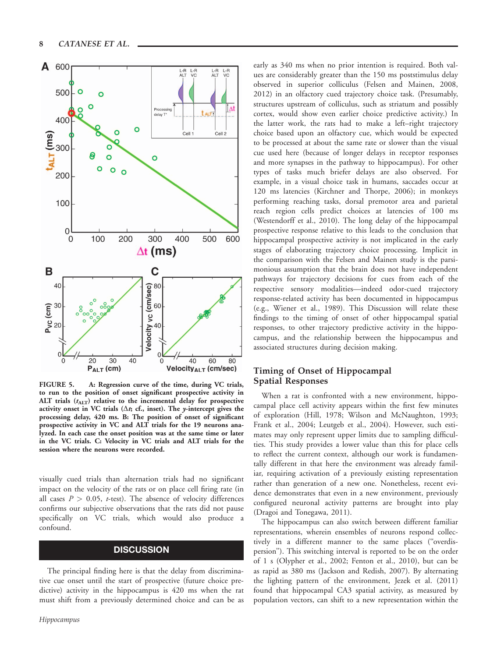

FIGURE 5. A: Regression curve of the time, during VC trials, to run to the position of onset significant prospective activity in ALT trials  $(t_{\text{ALT}})$  relative to the incremental delay for prospective activity onset in VC trials ( $\Delta t$ ; cf., inset). The y-intercept gives the processing delay, 420 ms. B: The position of onset of significant prospective activity in VC and ALT trials for the 19 neurons analyzed. In each case the onset position was at the same time or later in the VC trials. C: Velocity in VC trials and ALT trials for the session where the neurons were recorded.

visually cued trials than alternation trials had no significant impact on the velocity of the rats or on place cell firing rate (in all cases  $P > 0.05$ , t-test). The absence of velocity differences confirms our subjective observations that the rats did not pause specifically on VC trials, which would also produce a confound.

# **DISCUSSION**

The principal finding here is that the delay from discriminative cue onset until the start of prospective (future choice predictive) activity in the hippocampus is 420 ms when the rat must shift from a previously determined choice and can be as early as 340 ms when no prior intention is required. Both values are considerably greater than the 150 ms poststimulus delay observed in superior colliculus (Felsen and Mainen, 2008, 2012) in an olfactory cued trajectory choice task. (Presumably, structures upstream of colliculus, such as striatum and possibly cortex, would show even earlier choice predictive activity.) In the latter work, the rats had to make a left–right trajectory choice based upon an olfactory cue, which would be expected to be processed at about the same rate or slower than the visual cue used here (because of longer delays in receptor responses and more synapses in the pathway to hippocampus). For other types of tasks much briefer delays are also observed. For example, in a visual choice task in humans, saccades occur at 120 ms latencies (Kirchner and Thorpe, 2006); in monkeys performing reaching tasks, dorsal premotor area and parietal reach region cells predict choices at latencies of 100 ms (Westendorff et al., 2010). The long delay of the hippocampal prospective response relative to this leads to the conclusion that hippocampal prospective activity is not implicated in the early stages of elaborating trajectory choice processing. Implicit in the comparison with the Felsen and Mainen study is the parsimonious assumption that the brain does not have independent pathways for trajectory decisions for cues from each of the respective sensory modalities—indeed odor-cued trajectory response-related activity has been documented in hippocampus (e.g., Wiener et al., 1989). This Discussion will relate these findings to the timing of onset of other hippocampal spatial responses, to other trajectory predictive activity in the hippocampus, and the relationship between the hippocampus and associated structures during decision making.

## Timing of Onset of Hippocampal Spatial Responses

When a rat is confronted with a new environment, hippocampal place cell activity appears within the first few minutes of exploration (Hill, 1978; Wilson and McNaughton, 1993; Frank et al., 2004; Leutgeb et al., 2004). However, such estimates may only represent upper limits due to sampling difficulties. This study provides a lower value than this for place cells to reflect the current context, although our work is fundamentally different in that here the environment was already familiar, requiring activation of a previously existing representation rather than generation of a new one. Nonetheless, recent evidence demonstrates that even in a new environment, previously configured neuronal activity patterns are brought into play (Dragoi and Tonegawa, 2011).

The hippocampus can also switch between different familiar representations, wherein ensembles of neurons respond collectively in a different manner to the same places (''overdispersion''). This switching interval is reported to be on the order of 1 s (Olypher et al., 2002; Fenton et al., 2010), but can be as rapid as 380 ms (Jackson and Redish, 2007). By alternating the lighting pattern of the environment, Jezek et al. (2011) found that hippocampal CA3 spatial activity, as measured by population vectors, can shift to a new representation within the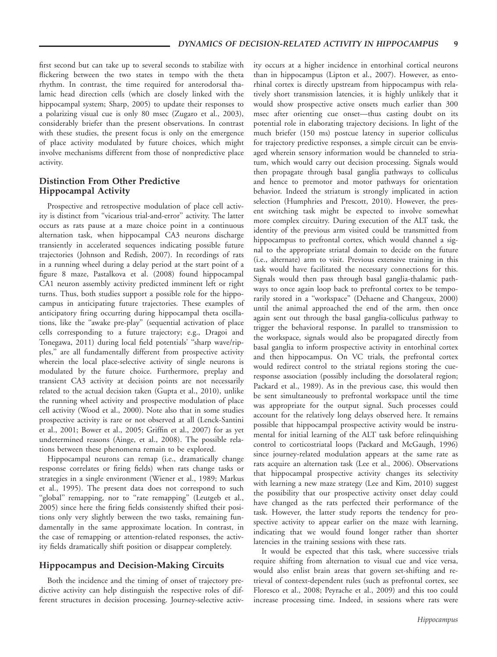first second but can take up to several seconds to stabilize with flickering between the two states in tempo with the theta rhythm. In contrast, the time required for anterodorsal thalamic head direction cells (which are closely linked with the hippocampal system; Sharp, 2005) to update their responses to a polarizing visual cue is only 80 msec (Zugaro et al., 2003), considerably briefer than the present observations. In contrast with these studies, the present focus is only on the emergence of place activity modulated by future choices, which might involve mechanisms different from those of nonpredictive place activity.

## Distinction From Other Predictive Hippocampal Activity

Prospective and retrospective modulation of place cell activity is distinct from ''vicarious trial-and-error'' activity. The latter occurs as rats pause at a maze choice point in a continuous alternation task, when hippocampal CA3 neurons discharge transiently in accelerated sequences indicating possible future trajectories (Johnson and Redish, 2007). In recordings of rats in a running wheel during a delay period at the start point of a figure 8 maze, Pastalkova et al. (2008) found hippocampal CA1 neuron assembly activity predicted imminent left or right turns. Thus, both studies support a possible role for the hippocampus in anticipating future trajectories. These examples of anticipatory firing occurring during hippocampal theta oscillations, like the ''awake pre-play'' (sequential activation of place cells corresponding to a future trajectory; e.g., Dragoi and Tonegawa, 2011) during local field potentials' ''sharp wave/ripples,'' are all fundamentally different from prospective activity wherein the local place-selective activity of single neurons is modulated by the future choice. Furthermore, preplay and transient CA3 activity at decision points are not necessarily related to the actual decision taken (Gupta et al., 2010), unlike the running wheel activity and prospective modulation of place cell activity (Wood et al., 2000). Note also that in some studies prospective activity is rare or not observed at all (Lenck-Santini et al., 2001; Bower et al., 2005; Griffin et al., 2007) for as yet undetermined reasons (Ainge, et al., 2008). The possible relations between these phenomena remain to be explored.

Hippocampal neurons can remap (i.e., dramatically change response correlates or firing fields) when rats change tasks or strategies in a single environment (Wiener et al., 1989; Markus et al., 1995). The present data does not correspond to such "global" remapping, nor to "rate remapping" (Leutgeb et al., 2005) since here the firing fields consistently shifted their positions only very slightly between the two tasks, remaining fundamentally in the same approximate location. In contrast, in the case of remapping or attention-related responses, the activity fields dramatically shift position or disappear completely.

### Hippocampus and Decision-Making Circuits

Both the incidence and the timing of onset of trajectory predictive activity can help distinguish the respective roles of different structures in decision processing. Journey-selective activity occurs at a higher incidence in entorhinal cortical neurons than in hippocampus (Lipton et al., 2007). However, as entorhinal cortex is directly upstream from hippocampus with relatively short transmission latencies, it is highly unlikely that it would show prospective active onsets much earlier than 300 msec after orienting cue onset—thus casting doubt on its potential role in elaborating trajectory decisions. In light of the much briefer (150 ms) postcue latency in superior colliculus for trajectory predictive responses, a simple circuit can be envisaged wherein sensory information would be channeled to striatum, which would carry out decision processing. Signals would then propagate through basal ganglia pathways to colliculus and hence to premotor and motor pathways for orientation behavior. Indeed the striatum is strongly implicated in action selection (Humphries and Prescott, 2010). However, the present switching task might be expected to involve somewhat more complex circuitry. During execution of the ALT task, the identity of the previous arm visited could be transmitted from hippocampus to prefrontal cortex, which would channel a signal to the appropriate striatal domain to decide on the future (i.e., alternate) arm to visit. Previous extensive training in this task would have facilitated the necessary connections for this. Signals would then pass through basal ganglia-thalamic pathways to once again loop back to prefrontal cortex to be temporarily stored in a ''workspace'' (Dehaene and Changeux, 2000) until the animal approached the end of the arm, then once again sent out through the basal ganglia-colliculus pathway to trigger the behavioral response. In parallel to transmission to the workspace, signals would also be propagated directly from basal ganglia to inform prospective activity in entorhinal cortex and then hippocampus. On VC trials, the prefrontal cortex would redirect control to the striatal regions storing the cueresponse association (possibly including the dorsolateral region; Packard et al., 1989). As in the previous case, this would then be sent simultaneously to prefrontal workspace until the time was appropriate for the output signal. Such processes could account for the relatively long delays observed here. It remains possible that hippocampal prospective activity would be instrumental for initial learning of the ALT task before relinquishing control to corticostriatal loops (Packard and McGaugh, 1996) since journey-related modulation appears at the same rate as rats acquire an alternation task (Lee et al., 2006). Observations that hippocampal prospective activity changes its selectivity with learning a new maze strategy (Lee and Kim, 2010) suggest the possibility that our prospective activity onset delay could have changed as the rats perfected their performance of the task. However, the latter study reports the tendency for prospective activity to appear earlier on the maze with learning, indicating that we would found longer rather than shorter latencies in the training sessions with these rats.

It would be expected that this task, where successive trials require shifting from alternation to visual cue and vice versa, would also enlist brain areas that govern set-shifting and retrieval of context-dependent rules (such as prefrontal cortex, see Floresco et al., 2008; Peyrache et al., 2009) and this too could increase processing time. Indeed, in sessions where rats were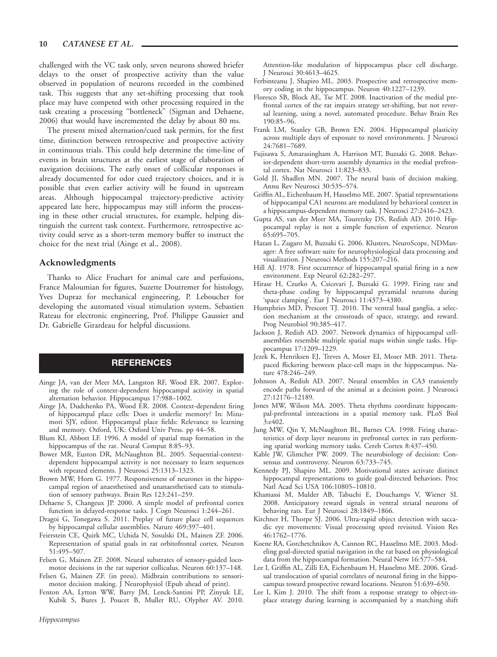challenged with the VC task only, seven neurons showed briefer delays to the onset of prospective activity than the value observed in population of neurons recorded in the combined task. This suggests that any set-shifting processing that took place may have competed with other processing required in the task creating a processing ''bottleneck'' (Sigman and Dehaene, 2006) that would have incremented the delay by about 80 ms.

The present mixed alternation/cued task permits, for the first time, distinction between retrospective and prospective activity in continuous trials. This could help determine the time-line of events in brain structures at the earliest stage of elaboration of navigation decisions. The early onset of collicular responses is already documented for odor cued trajectory choices, and it is possible that even earlier activity will be found in upstream areas. Although hippocampal trajectory-predictive activity appeared late here, hippocampus may still inform the processing in these other crucial structures, for example, helping distinguish the current task context. Furthermore, retrospective activity could serve as a short-term memory buffer to instruct the choice for the next trial (Ainge et al., 2008).

# Acknowledgments

Thanks to Alice Fruchart for animal care and perfusions, France Maloumian for figures, Suzette Doutremer for histology, Yves Dupraz for mechanical engineering, P. Leboucher for developing the automated visual stimulation system, Sebastien Rateau for electronic engineering, Prof. Philippe Gaussier and Dr. Gabrielle Girardeau for helpful discussions.

# REFERENCES

- Ainge JA, van der Meer MA, Langston RF, Wood ER. 2007. Exploring the role of context-dependent hippocampal activity in spatial alternation behavior. Hippocampus 17:988–1002.
- Ainge JA, Dudchenko PA, Wood ER. 2008. Context-dependent firing of hippocampal place cells: Does it underlie memory? In: Mizumori SJY, editor. Hippocampal place fields: Relevance to learning and memory. Oxford, UK: Oxford Univ Press. pp 44–58.
- Blum KI, Abbott LF. 1996. A model of spatial map formation in the hippocampus of the rat. Neural Comput 8:85–93.
- Bower MR, Euston DR, McNaughton BL. 2005. Sequential-contextdependent hippocampal activity is not necessary to learn sequences with repeated elements. J Neurosci 25:1313–1323.
- Brown MW, Horn G. 1977. Responsiveness of neurones in the hippocampal region of anaesthetised and unanaesthetised cats to stimulation of sensory pathways. Brain Res 123:241–259.
- Dehaene S, Changeux JP. 2000. A simple model of prefrontal cortex function in delayed-response tasks. J Cogn Neurosci 1:244–261.
- Dragoi G, Tonegawa S. 2011. Preplay of future place cell sequences by hippocampal cellular assemblies. Nature 469:397–401.
- Feierstein CE, Quirk MC, Uchida N, Sosulski DL, Mainen ZF. 2006. Representation of spatial goals in rat orbitofrontal cortex. Neuron 51:495–507.
- Felsen G, Mainen ZF. 2008. Neural substrates of sensory-guided locomotor decisions in the rat superior colliculus. Neuron 60:137–148.
- Felsen G, Mainen ZF. (in press). Midbrain contributions to sensorimotor decision making. J Neurophysiol (Epub ahead of print).
- Fenton AA, Lytton WW, Barry JM, Lenck-Santini PP, Zinyuk LE, Kubik S, Bures J, Poucet B, Muller RU, Olypher AV. 2010.

Attention-like modulation of hippocampus place cell discharge. J Neurosci 30:4613–4625.

- Ferbinteanu J, Shapiro ML. 2003. Prospective and retrospective memory coding in the hippocampus. Neuron 40:1227–1239.
- Floresco SB, Block AE, Tse MT. 2008. Inactivation of the medial prefrontal cortex of the rat impairs strategy set-shifting, but not reversal learning, using a novel, automated procedure. Behav Brain Res 190:85–96.
- Frank LM, Stanley GB, Brown EN. 2004. Hippocampal plasticity across multiple days of exposure to novel environments. J Neurosci 24:7681–7689.
- Fujisawa S, Amarasingham A, Harrison MT, Buzsaki G. 2008. Behavior-dependent short-term assembly dynamics in the medial prefrontal cortex. Nat Neurosci 11:823–833.
- Gold JI, Shadlen MN. 2007. The neural basis of decision making. Annu Rev Neurosci 30:535–574.
- Griffin AL, Eichenbaum H, Hasselmo ME. 2007. Spatial representations of hippocampal CA1 neurons are modulated by behavioral context in a hippocampus-dependent memory task. J Neurosci 27:2416–2423.
- Gupta AS, van der Meer MA, Touretzky DS, Redish AD. 2010. Hippocampal replay is not a simple function of experience. Neuron  $65:695 - 705.$
- Hazan L, Zugaro M, Buzsaki G. 2006. Klusters, NeuroScope, NDManager: A free software suite for neurophysiological data processing and visualization. J Neurosci Methods 155:207–216.
- Hill AJ. 1978. First occurrence of hippocampal spatial firing in a new environment. Exp Neurol 62:282–297.
- Hirase H, Czurko A, Csicsvari J, Buzsaki G. 1999. Firing rate and theta-phase coding by hippocampal pyramidal neurons during 'space clamping'. Eur J Neurosci 11:4373–4380.
- Humphries MD, Prescott TJ. 2010. The ventral basal ganglia, a selection mechanism at the crossroads of space, strategy, and reward. Prog Neurobiol 90:385–417.
- Jackson J, Redish AD. 2007. Network dynamics of hippocampal cellassemblies resemble multiple spatial maps within single tasks. Hippocampus 17:1209–1229.
- Jezek K, Henriksen EJ, Treves A, Moser EI, Moser MB. 2011. Thetapaced flickering between place-cell maps in the hippocampus. Nature 478:246–249.
- Johnson A, Redish AD. 2007. Neural ensembles in CA3 transiently encode paths forward of the animal at a decision point. J Neurosci 27:12176–12189.
- Jones MW, Wilson MA. 2005. Theta rhythms coordinate hippocampal-prefrontal interactions in a spatial memory task. PLoS Biol 3:e402.
- Jung MW, Qin Y, McNaughton BL, Barnes CA. 1998. Firing characteristics of deep layer neurons in prefrontal cortex in rats performing spatial working memory tasks. Cereb Cortex 8:437–450.
- Kable JW, Glimcher PW. 2009. The neurobiology of decision: Consensus and controversy. Neuron 63:733–745.
- Kennedy PJ, Shapiro ML. 2009. Motivational states activate distinct hippocampal representations to guide goal-directed behaviors. Proc Natl Acad Sci USA 106:10805–10810.
- Khamassi M, Mulder AB, Tabuchi E, Douchamps V, Wiener SI. 2008. Anticipatory reward signals in ventral striatal neurons of behaving rats. Eur J Neurosci 28:1849–1866.
- Kirchner H, Thorpe SJ. 2006. Ultra-rapid object detection with saccadic eye movements: Visual processing speed revisited. Vision Res 46:1762–1776.
- Koene RA, Gorchetchnikov A, Cannon RC, Hasselmo ME. 2003. Modeling goal-directed spatial navigation in the rat based on physiological data from the hippocampal formation. Neural Netw 16:577–584.
- Lee I, Griffin AL, Zilli EA, Eichenbaum H, Hasselmo ME. 2006. Gradual translocation of spatial correlates of neuronal firing in the hippocampus toward prospective reward locations. Neuron 51:639–650.
- Lee I, Kim J. 2010. The shift from a response strategy to object-inplace strategy during learning is accompanied by a matching shift